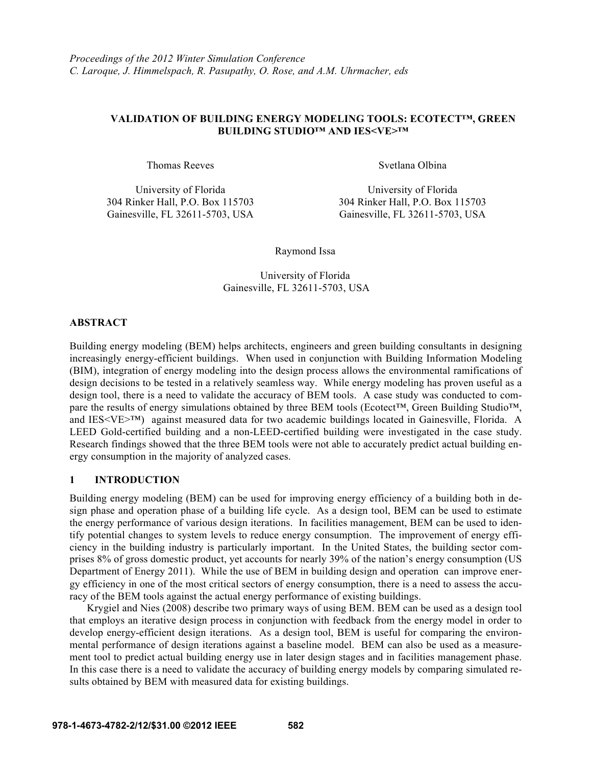# **VALIDATION OF BUILDING ENERGY MODELING TOOLS: ECOTECT™, GREEN BUILDING STUDIO™ AND IES<VE>™**

Thomas Reeves Svetlana Olbina

University of Florida University of Florida 304 Rinker Hall, P.O. Box 115703 304 Rinker Hall, P.O. Box 115703 Gainesville, FL 32611-5703, USA Gainesville, FL 32611-5703, USA

Raymond Issa

University of Florida Gainesville, FL 32611-5703, USA

# **ABSTRACT**

Building energy modeling (BEM) helps architects, engineers and green building consultants in designing increasingly energy-efficient buildings. When used in conjunction with Building Information Modeling (BIM), integration of energy modeling into the design process allows the environmental ramifications of design decisions to be tested in a relatively seamless way. While energy modeling has proven useful as a design tool, there is a need to validate the accuracy of BEM tools. A case study was conducted to compare the results of energy simulations obtained by three BEM tools (Ecotect™, Green Building Studio™, and IES<VE>™) against measured data for two academic buildings located in Gainesville, Florida. A LEED Gold-certified building and a non-LEED-certified building were investigated in the case study. Research findings showed that the three BEM tools were not able to accurately predict actual building energy consumption in the majority of analyzed cases.

# **1 INTRODUCTION**

Building energy modeling (BEM) can be used for improving energy efficiency of a building both in design phase and operation phase of a building life cycle. As a design tool, BEM can be used to estimate the energy performance of various design iterations. In facilities management, BEM can be used to identify potential changes to system levels to reduce energy consumption. The improvement of energy efficiency in the building industry is particularly important. In the United States, the building sector comprises 8% of gross domestic product, yet accounts for nearly 39% of the nation's energy consumption (US Department of Energy 2011). While the use of BEM in building design and operation can improve energy efficiency in one of the most critical sectors of energy consumption, there is a need to assess the accuracy of the BEM tools against the actual energy performance of existing buildings.

 Krygiel and Nies (2008) describe two primary ways of using BEM. BEM can be used as a design tool that employs an iterative design process in conjunction with feedback from the energy model in order to develop energy-efficient design iterations. As a design tool, BEM is useful for comparing the environmental performance of design iterations against a baseline model. BEM can also be used as a measurement tool to predict actual building energy use in later design stages and in facilities management phase. In this case there is a need to validate the accuracy of building energy models by comparing simulated results obtained by BEM with measured data for existing buildings.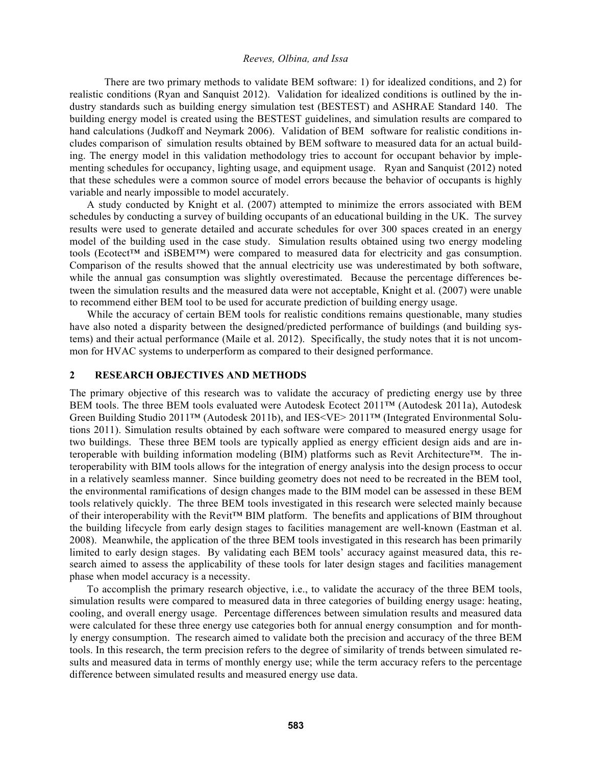There are two primary methods to validate BEM software: 1) for idealized conditions, and 2) for realistic conditions (Ryan and Sanquist 2012). Validation for idealized conditions is outlined by the industry standards such as building energy simulation test (BESTEST) and ASHRAE Standard 140. The building energy model is created using the BESTEST guidelines, and simulation results are compared to hand calculations (Judkoff and Neymark 2006). Validation of BEM software for realistic conditions includes comparison of simulation results obtained by BEM software to measured data for an actual building. The energy model in this validation methodology tries to account for occupant behavior by implementing schedules for occupancy, lighting usage, and equipment usage. Ryan and Sanquist (2012) noted that these schedules were a common source of model errors because the behavior of occupants is highly variable and nearly impossible to model accurately.

 A study conducted by Knight et al. (2007) attempted to minimize the errors associated with BEM schedules by conducting a survey of building occupants of an educational building in the UK. The survey results were used to generate detailed and accurate schedules for over 300 spaces created in an energy model of the building used in the case study. Simulation results obtained using two energy modeling tools (Ecotect™ and iSBEM™) were compared to measured data for electricity and gas consumption. Comparison of the results showed that the annual electricity use was underestimated by both software, while the annual gas consumption was slightly overestimated. Because the percentage differences between the simulation results and the measured data were not acceptable, Knight et al. (2007) were unable to recommend either BEM tool to be used for accurate prediction of building energy usage.

 While the accuracy of certain BEM tools for realistic conditions remains questionable, many studies have also noted a disparity between the designed/predicted performance of buildings (and building systems) and their actual performance (Maile et al. 2012). Specifically, the study notes that it is not uncommon for HVAC systems to underperform as compared to their designed performance.

## **2 RESEARCH OBJECTIVES AND METHODS**

The primary objective of this research was to validate the accuracy of predicting energy use by three BEM tools. The three BEM tools evaluated were Autodesk Ecotect 2011™ (Autodesk 2011a), Autodesk Green Building Studio 2011™ (Autodesk 2011b), and IES<VE> 2011™ (Integrated Environmental Solutions 2011). Simulation results obtained by each software were compared to measured energy usage for two buildings. These three BEM tools are typically applied as energy efficient design aids and are interoperable with building information modeling (BIM) platforms such as Revit Architecture™. The interoperability with BIM tools allows for the integration of energy analysis into the design process to occur in a relatively seamless manner. Since building geometry does not need to be recreated in the BEM tool, the environmental ramifications of design changes made to the BIM model can be assessed in these BEM tools relatively quickly. The three BEM tools investigated in this research were selected mainly because of their interoperability with the Revit™ BIM platform. The benefits and applications of BIM throughout the building lifecycle from early design stages to facilities management are well-known (Eastman et al. 2008). Meanwhile, the application of the three BEM tools investigated in this research has been primarily limited to early design stages. By validating each BEM tools' accuracy against measured data, this research aimed to assess the applicability of these tools for later design stages and facilities management phase when model accuracy is a necessity.

To accomplish the primary research objective, i.e., to validate the accuracy of the three BEM tools, simulation results were compared to measured data in three categories of building energy usage: heating, cooling, and overall energy usage. Percentage differences between simulation results and measured data were calculated for these three energy use categories both for annual energy consumption and for monthly energy consumption. The research aimed to validate both the precision and accuracy of the three BEM tools. In this research, the term precision refers to the degree of similarity of trends between simulated results and measured data in terms of monthly energy use; while the term accuracy refers to the percentage difference between simulated results and measured energy use data.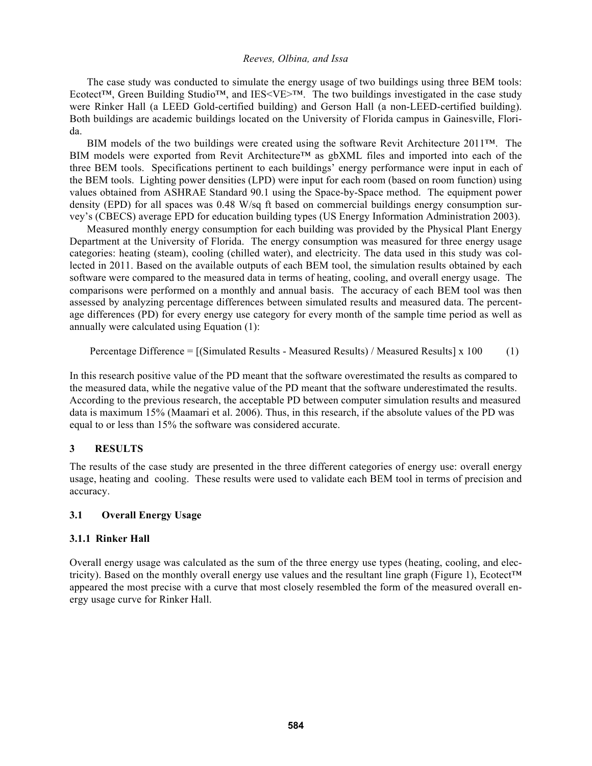The case study was conducted to simulate the energy usage of two buildings using three BEM tools: Ecotect™, Green Building Studio™, and IES<VE>™. The two buildings investigated in the case study were Rinker Hall (a LEED Gold-certified building) and Gerson Hall (a non-LEED-certified building). Both buildings are academic buildings located on the University of Florida campus in Gainesville, Florida.

 BIM models of the two buildings were created using the software Revit Architecture 2011™. The BIM models were exported from Revit Architecture™ as gbXML files and imported into each of the three BEM tools. Specifications pertinent to each buildings' energy performance were input in each of the BEM tools. Lighting power densities (LPD) were input for each room (based on room function) using values obtained from ASHRAE Standard 90.1 using the Space-by-Space method. The equipment power density (EPD) for all spaces was 0.48 W/sq ft based on commercial buildings energy consumption survey's (CBECS) average EPD for education building types (US Energy Information Administration 2003).

Measured monthly energy consumption for each building was provided by the Physical Plant Energy Department at the University of Florida. The energy consumption was measured for three energy usage categories: heating (steam), cooling (chilled water), and electricity. The data used in this study was collected in 2011. Based on the available outputs of each BEM tool, the simulation results obtained by each software were compared to the measured data in terms of heating, cooling, and overall energy usage. The comparisons were performed on a monthly and annual basis. The accuracy of each BEM tool was then assessed by analyzing percentage differences between simulated results and measured data. The percentage differences (PD) for every energy use category for every month of the sample time period as well as annually were calculated using Equation (1):

```
Percentage Difference = [(Simulated Results - Measured Results) / Measured Results] x 100 (1)
```
In this research positive value of the PD meant that the software overestimated the results as compared to the measured data, while the negative value of the PD meant that the software underestimated the results. According to the previous research, the acceptable PD between computer simulation results and measured data is maximum 15% (Maamari et al. 2006). Thus, in this research, if the absolute values of the PD was equal to or less than 15% the software was considered accurate.

# **3 RESULTS**

The results of the case study are presented in the three different categories of energy use: overall energy usage, heating and cooling. These results were used to validate each BEM tool in terms of precision and accuracy.

# **3.1 Overall Energy Usage**

# **3.1.1 Rinker Hall**

Overall energy usage was calculated as the sum of the three energy use types (heating, cooling, and electricity). Based on the monthly overall energy use values and the resultant line graph (Figure 1), Ecotect™ appeared the most precise with a curve that most closely resembled the form of the measured overall energy usage curve for Rinker Hall.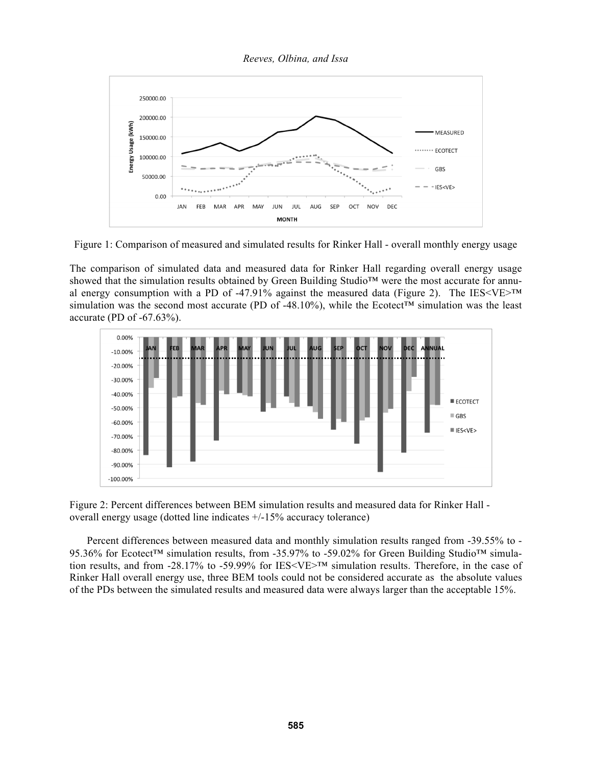*Reeves, Olbina, and Issa* 



Figure 1: Comparison of measured and simulated results for Rinker Hall - overall monthly energy usage

The comparison of simulated data and measured data for Rinker Hall regarding overall energy usage showed that the simulation results obtained by Green Building Studio<sup>™</sup> were the most accurate for annual energy consumption with a PD of -47.91% against the measured data (Figure 2). The IES<VE $>W$ <sup>M</sup> simulation was the second most accurate (PD of -48.10%), while the Ecotect™ simulation was the least accurate (PD of -67.63%).



Figure 2: Percent differences between BEM simulation results and measured data for Rinker Hall overall energy usage (dotted line indicates +/-15% accuracy tolerance)

Percent differences between measured data and monthly simulation results ranged from -39.55% to - 95.36% for Ecotect™ simulation results, from -35.97% to -59.02% for Green Building Studio™ simulation results, and from -28.17% to -59.99% for IES<VE>™ simulation results. Therefore, in the case of Rinker Hall overall energy use, three BEM tools could not be considered accurate as the absolute values of the PDs between the simulated results and measured data were always larger than the acceptable 15%.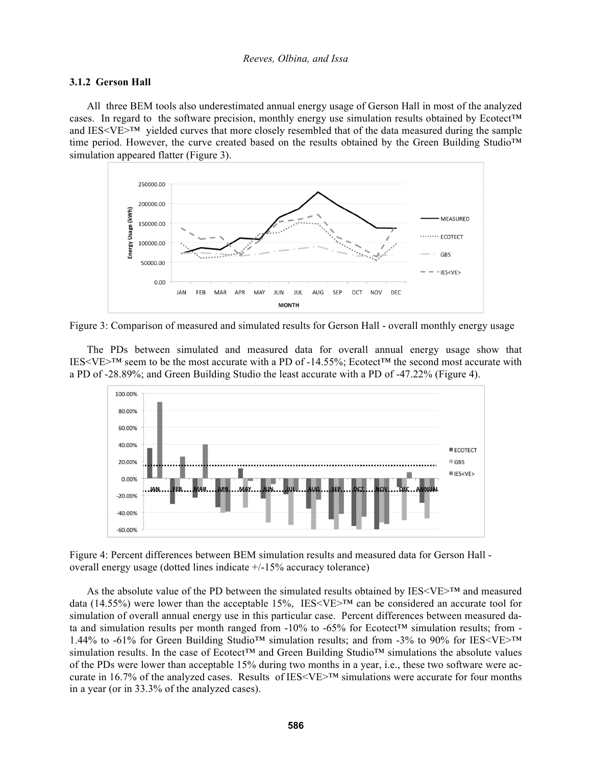### **3.1.2 Gerson Hall**

 All three BEM tools also underestimated annual energy usage of Gerson Hall in most of the analyzed cases. In regard to the software precision, monthly energy use simulation results obtained by Ecotect™ and IES<VE>™ yielded curves that more closely resembled that of the data measured during the sample time period. However, the curve created based on the results obtained by the Green Building Studio™ simulation appeared flatter (Figure 3).



Figure 3: Comparison of measured and simulated results for Gerson Hall - overall monthly energy usage

The PDs between simulated and measured data for overall annual energy usage show that IES<VE>™ seem to be the most accurate with a PD of -14.55%; Ecotect™ the second most accurate with a PD of -28.89%; and Green Building Studio the least accurate with a PD of -47.22% (Figure 4).



Figure 4: Percent differences between BEM simulation results and measured data for Gerson Hall overall energy usage (dotted lines indicate +/-15% accuracy tolerance)

As the absolute value of the PD between the simulated results obtained by  $IES < VE > TM$  and measured data (14.55%) were lower than the acceptable 15%, IES<VE>™ can be considered an accurate tool for simulation of overall annual energy use in this particular case. Percent differences between measured data and simulation results per month ranged from -10% to -65% for Ecotect™ simulation results; from - 1.44% to -61% for Green Building Studio<sup>™</sup> simulation results; and from -3% to 90% for IES<VE>™ simulation results. In the case of Ecotect™ and Green Building Studio™ simulations the absolute values of the PDs were lower than acceptable 15% during two months in a year, i.e., these two software were accurate in 16.7% of the analyzed cases. Results of  $IES < VE > TM$  simulations were accurate for four months in a year (or in 33.3% of the analyzed cases).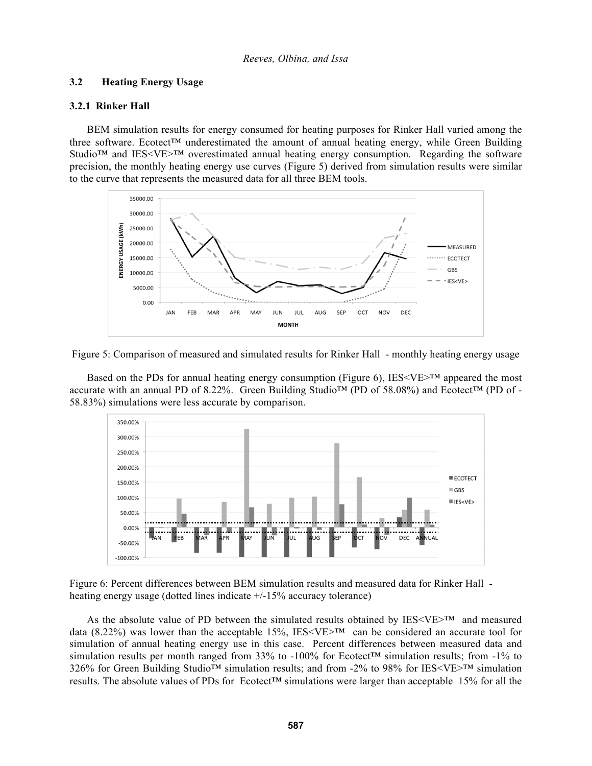# **3.2 Heating Energy Usage**

## **3.2.1 Rinker Hall**

BEM simulation results for energy consumed for heating purposes for Rinker Hall varied among the three software. Ecotect™ underestimated the amount of annual heating energy, while Green Building Studio™ and IES<VE>™ overestimated annual heating energy consumption. Regarding the software precision, the monthly heating energy use curves (Figure 5) derived from simulation results were similar to the curve that represents the measured data for all three BEM tools.



Figure 5: Comparison of measured and simulated results for Rinker Hall - monthly heating energy usage

Based on the PDs for annual heating energy consumption (Figure 6), IES<VE>™ appeared the most accurate with an annual PD of 8.22%. Green Building Studio™ (PD of 58.08%) and Ecotect™ (PD of - 58.83%) simulations were less accurate by comparison.



Figure 6: Percent differences between BEM simulation results and measured data for Rinker Hall heating energy usage (dotted lines indicate  $+/-15%$  accuracy tolerance)

As the absolute value of PD between the simulated results obtained by  $\text{IES} < \text{VE} > \text{TM}}$  and measured data (8.22%) was lower than the acceptable 15%, IES<VE $>^{\text{TM}}$  can be considered an accurate tool for simulation of annual heating energy use in this case. Percent differences between measured data and simulation results per month ranged from 33% to -100% for Ecotect<sup>TM</sup> simulation results; from -1% to 326% for Green Building Studio™ simulation results; and from -2% to 98% for IES<VE>™ simulation results. The absolute values of PDs for Ecotect™ simulations were larger than acceptable 15% for all the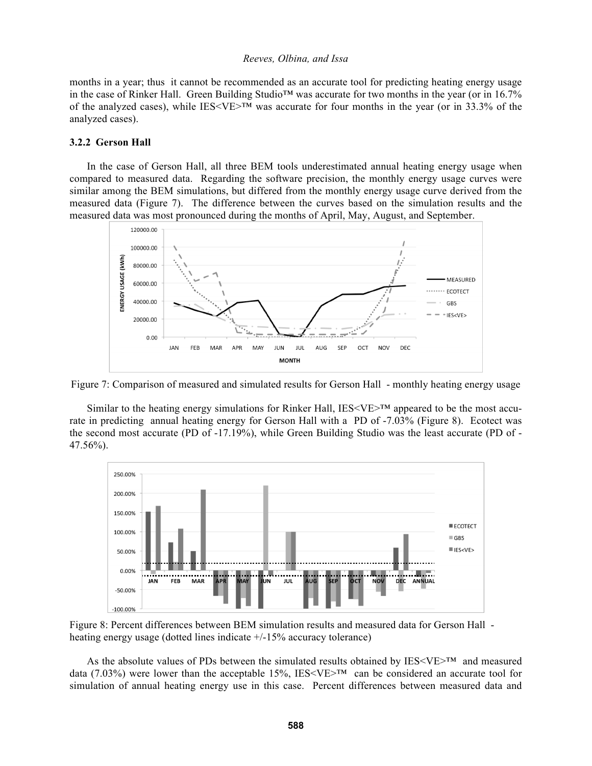months in a year; thus it cannot be recommended as an accurate tool for predicting heating energy usage in the case of Rinker Hall. Green Building Studio<sup>™</sup> was accurate for two months in the year (or in 16.7% of the analyzed cases), while IES<VE>™ was accurate for four months in the year (or in 33.3% of the analyzed cases).

#### **3.2.2 Gerson Hall**

In the case of Gerson Hall, all three BEM tools underestimated annual heating energy usage when compared to measured data. Regarding the software precision, the monthly energy usage curves were similar among the BEM simulations, but differed from the monthly energy usage curve derived from the measured data (Figure 7). The difference between the curves based on the simulation results and the measured data was most pronounced during the months of April, May, August, and September.



Figure 7: Comparison of measured and simulated results for Gerson Hall - monthly heating energy usage

Similar to the heating energy simulations for Rinker Hall,  $IES < VE > TM$  appeared to be the most accurate in predicting annual heating energy for Gerson Hall with a PD of -7.03% (Figure 8). Ecotect was the second most accurate (PD of -17.19%), while Green Building Studio was the least accurate (PD of - 47.56%).



Figure 8: Percent differences between BEM simulation results and measured data for Gerson Hall heating energy usage (dotted lines indicate  $+/-15\%$  accuracy tolerance)

As the absolute values of PDs between the simulated results obtained by  $\text{IES} < \text{VE} > \text{TM}}$  and measured data (7.03%) were lower than the acceptable 15%, IES<VE> $^{TM}$  can be considered an accurate tool for simulation of annual heating energy use in this case. Percent differences between measured data and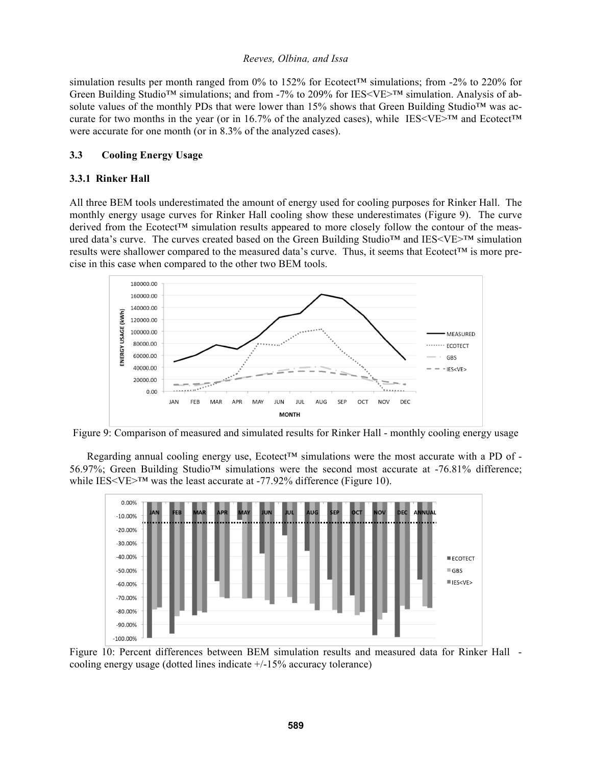simulation results per month ranged from 0% to 152% for Ecotect<sup>™</sup> simulations; from -2% to 220% for Green Building Studio™ simulations; and from -7% to 209% for IES<VE>™ simulation. Analysis of absolute values of the monthly PDs that were lower than 15% shows that Green Building Studio™ was accurate for two months in the year (or in 16.7% of the analyzed cases), while IES<VE>™ and Ecotect™ were accurate for one month (or in 8.3% of the analyzed cases).

# **3.3 Cooling Energy Usage**

# **3.3.1 Rinker Hall**

All three BEM tools underestimated the amount of energy used for cooling purposes for Rinker Hall. The monthly energy usage curves for Rinker Hall cooling show these underestimates (Figure 9). The curve derived from the Ecotect<sup>™</sup> simulation results appeared to more closely follow the contour of the measured data's curve. The curves created based on the Green Building Studio™ and IES<VE>™ simulation results were shallower compared to the measured data's curve. Thus, it seems that Ecotect™ is more precise in this case when compared to the other two BEM tools.



Figure 9: Comparison of measured and simulated results for Rinker Hall - monthly cooling energy usage

Regarding annual cooling energy use, Ecotect<sup> $TM$ </sup> simulations were the most accurate with a PD of -56.97%; Green Building Studio™ simulations were the second most accurate at -76.81% difference; while IES<VE>™ was the least accurate at -77.92% difference (Figure 10).



Figure 10: Percent differences between BEM simulation results and measured data for Rinker Hall cooling energy usage (dotted lines indicate  $+/-15\%$  accuracy tolerance)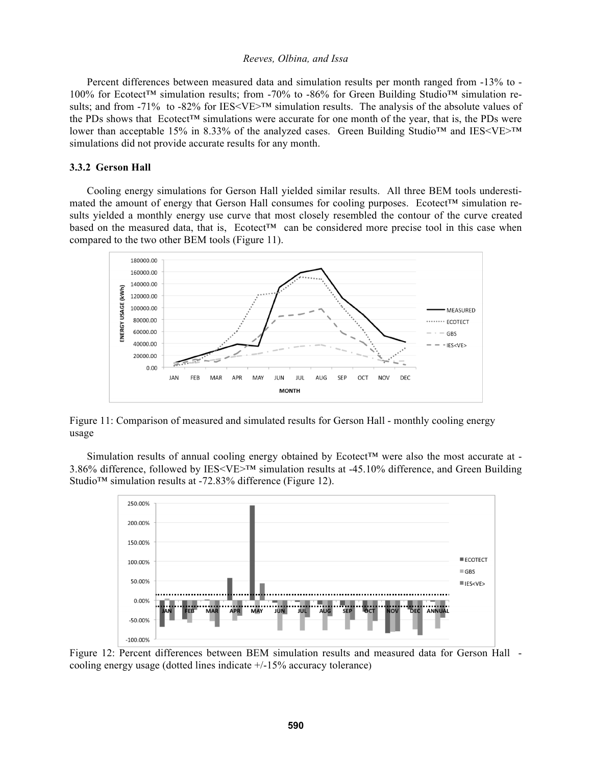Percent differences between measured data and simulation results per month ranged from -13% to - 100% for Ecotect™ simulation results; from -70% to -86% for Green Building Studio™ simulation results; and from -71% to -82% for IES<VE>™ simulation results. The analysis of the absolute values of the PDs shows that Ecotect™ simulations were accurate for one month of the year, that is, the PDs were lower than acceptable 15% in 8.33% of the analyzed cases. Green Building Studio™ and IES<VE>™ simulations did not provide accurate results for any month.

#### **3.3.2 Gerson Hall**

 Cooling energy simulations for Gerson Hall yielded similar results. All three BEM tools underestimated the amount of energy that Gerson Hall consumes for cooling purposes. Ecotect™ simulation results yielded a monthly energy use curve that most closely resembled the contour of the curve created based on the measured data, that is, Ecotect™ can be considered more precise tool in this case when compared to the two other BEM tools (Figure 11).



Figure 11: Comparison of measured and simulated results for Gerson Hall - monthly cooling energy usage

Simulation results of annual cooling energy obtained by  $\text{Etotet}^{\text{TM}}$  were also the most accurate at -3.86% difference, followed by IES<VE>™ simulation results at -45.10% difference, and Green Building Studio™ simulation results at -72.83% difference (Figure 12).



Figure 12: Percent differences between BEM simulation results and measured data for Gerson Hall cooling energy usage (dotted lines indicate +/-15% accuracy tolerance)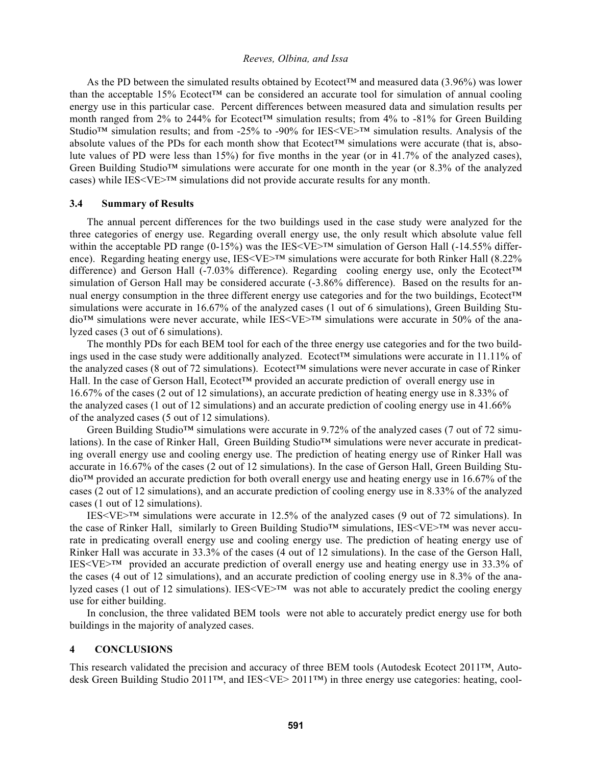As the PD between the simulated results obtained by Ecotect™ and measured data (3.96%) was lower than the acceptable 15% Ecotect<sup> $TM$ </sup> can be considered an accurate tool for simulation of annual cooling energy use in this particular case. Percent differences between measured data and simulation results per month ranged from 2% to 244% for Ecotect<sup>™</sup> simulation results; from 4% to -81% for Green Building Studio™ simulation results; and from -25% to -90% for IES<VE>™ simulation results. Analysis of the absolute values of the PDs for each month show that Ecotect™ simulations were accurate (that is, absolute values of PD were less than 15%) for five months in the year (or in 41.7% of the analyzed cases), Green Building Studio™ simulations were accurate for one month in the year (or 8.3% of the analyzed cases) while IES<VE>™ simulations did not provide accurate results for any month.

### **3.4 Summary of Results**

 The annual percent differences for the two buildings used in the case study were analyzed for the three categories of energy use. Regarding overall energy use, the only result which absolute value fell within the acceptable PD range (0-15%) was the IES<VE $>^{\text{TM}}$  simulation of Gerson Hall (-14.55% difference). Regarding heating energy use, IES<VE>™ simulations were accurate for both Rinker Hall (8.22% difference) and Gerson Hall (-7.03% difference). Regarding cooling energy use, only the Ecotect™ simulation of Gerson Hall may be considered accurate (-3.86% difference). Based on the results for annual energy consumption in the three different energy use categories and for the two buildings, Ecotect™ simulations were accurate in 16.67% of the analyzed cases (1 out of 6 simulations), Green Building Studio™ simulations were never accurate, while IES<VE>™ simulations were accurate in 50% of the analyzed cases (3 out of 6 simulations).

The monthly PDs for each BEM tool for each of the three energy use categories and for the two buildings used in the case study were additionally analyzed. Ecotect™ simulations were accurate in 11.11% of the analyzed cases (8 out of 72 simulations). Ecotect™ simulations were never accurate in case of Rinker Hall. In the case of Gerson Hall, Ecotect™ provided an accurate prediction of overall energy use in 16.67% of the cases (2 out of 12 simulations), an accurate prediction of heating energy use in 8.33% of the analyzed cases (1 out of 12 simulations) and an accurate prediction of cooling energy use in 41.66% of the analyzed cases (5 out of 12 simulations).

Green Building Studio<sup>™</sup> simulations were accurate in 9.72% of the analyzed cases (7 out of 72 simulations). In the case of Rinker Hall, Green Building Studio™ simulations were never accurate in predicating overall energy use and cooling energy use. The prediction of heating energy use of Rinker Hall was accurate in 16.67% of the cases (2 out of 12 simulations). In the case of Gerson Hall, Green Building Studio™ provided an accurate prediction for both overall energy use and heating energy use in 16.67% of the cases (2 out of 12 simulations), and an accurate prediction of cooling energy use in 8.33% of the analyzed cases (1 out of 12 simulations).

IES<VE> $\text{TM}$  simulations were accurate in 12.5% of the analyzed cases (9 out of 72 simulations). In the case of Rinker Hall, similarly to Green Building Studio™ simulations, IES<VE>™ was never accurate in predicating overall energy use and cooling energy use. The prediction of heating energy use of Rinker Hall was accurate in 33.3% of the cases (4 out of 12 simulations). In the case of the Gerson Hall, IES<VE>™ provided an accurate prediction of overall energy use and heating energy use in 33.3% of the cases (4 out of 12 simulations), and an accurate prediction of cooling energy use in 8.3% of the analyzed cases (1 out of 12 simulations). IES<VE>™ was not able to accurately predict the cooling energy use for either building.

In conclusion, the three validated BEM tools were not able to accurately predict energy use for both buildings in the majority of analyzed cases.

### **4 CONCLUSIONS**

This research validated the precision and accuracy of three BEM tools (Autodesk Ecotect 2011™, Autodesk Green Building Studio 2011™, and IES<VE> 2011™) in three energy use categories: heating, cool-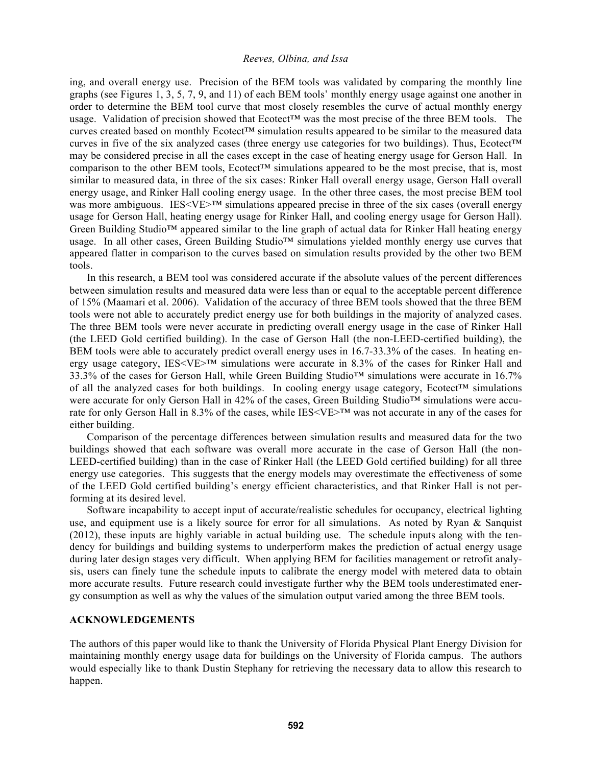ing, and overall energy use. Precision of the BEM tools was validated by comparing the monthly line graphs (see Figures 1, 3, 5, 7, 9, and 11) of each BEM tools' monthly energy usage against one another in order to determine the BEM tool curve that most closely resembles the curve of actual monthly energy usage. Validation of precision showed that Ecotect™ was the most precise of the three BEM tools. The curves created based on monthly Ecotect™ simulation results appeared to be similar to the measured data curves in five of the six analyzed cases (three energy use categories for two buildings). Thus, Ecotect™ may be considered precise in all the cases except in the case of heating energy usage for Gerson Hall. In comparison to the other BEM tools, Ecotect™ simulations appeared to be the most precise, that is, most similar to measured data, in three of the six cases: Rinker Hall overall energy usage, Gerson Hall overall energy usage, and Rinker Hall cooling energy usage. In the other three cases, the most precise BEM tool was more ambiguous. IES<VE $>W$  simulations appeared precise in three of the six cases (overall energy usage for Gerson Hall, heating energy usage for Rinker Hall, and cooling energy usage for Gerson Hall). Green Building Studio™ appeared similar to the line graph of actual data for Rinker Hall heating energy usage. In all other cases, Green Building Studio™ simulations yielded monthly energy use curves that appeared flatter in comparison to the curves based on simulation results provided by the other two BEM tools.

 In this research, a BEM tool was considered accurate if the absolute values of the percent differences between simulation results and measured data were less than or equal to the acceptable percent difference of 15% (Maamari et al. 2006). Validation of the accuracy of three BEM tools showed that the three BEM tools were not able to accurately predict energy use for both buildings in the majority of analyzed cases. The three BEM tools were never accurate in predicting overall energy usage in the case of Rinker Hall (the LEED Gold certified building). In the case of Gerson Hall (the non-LEED-certified building), the BEM tools were able to accurately predict overall energy uses in 16.7-33.3% of the cases. In heating energy usage category, IES<VE> $T^M$  simulations were accurate in 8.3% of the cases for Rinker Hall and 33.3% of the cases for Gerson Hall, while Green Building Studio<sup>™</sup> simulations were accurate in 16.7% of all the analyzed cases for both buildings. In cooling energy usage category, Ecotect™ simulations were accurate for only Gerson Hall in 42% of the cases, Green Building Studio™ simulations were accurate for only Gerson Hall in 8.3% of the cases, while IES<VE>™ was not accurate in any of the cases for either building.

 Comparison of the percentage differences between simulation results and measured data for the two buildings showed that each software was overall more accurate in the case of Gerson Hall (the non-LEED-certified building) than in the case of Rinker Hall (the LEED Gold certified building) for all three energy use categories. This suggests that the energy models may overestimate the effectiveness of some of the LEED Gold certified building's energy efficient characteristics, and that Rinker Hall is not performing at its desired level.

 Software incapability to accept input of accurate/realistic schedules for occupancy, electrical lighting use, and equipment use is a likely source for error for all simulations. As noted by Ryan & Sanquist (2012), these inputs are highly variable in actual building use. The schedule inputs along with the tendency for buildings and building systems to underperform makes the prediction of actual energy usage during later design stages very difficult. When applying BEM for facilities management or retrofit analysis, users can finely tune the schedule inputs to calibrate the energy model with metered data to obtain more accurate results. Future research could investigate further why the BEM tools underestimated energy consumption as well as why the values of the simulation output varied among the three BEM tools.

## **ACKNOWLEDGEMENTS**

The authors of this paper would like to thank the University of Florida Physical Plant Energy Division for maintaining monthly energy usage data for buildings on the University of Florida campus. The authors would especially like to thank Dustin Stephany for retrieving the necessary data to allow this research to happen.